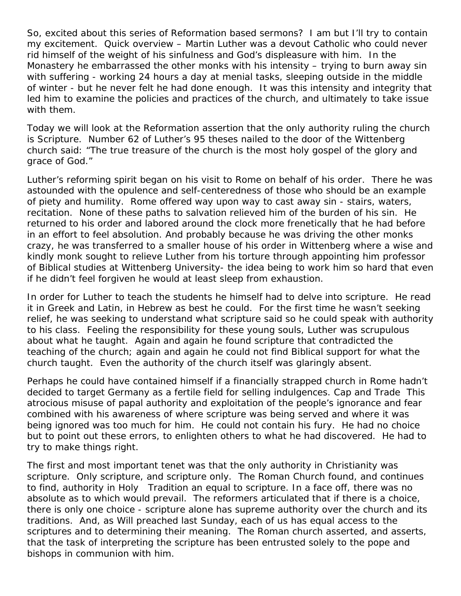So, excited about this series of Reformation based sermons? I am but I'll try to contain my excitement. Quick overview – Martin Luther was a devout Catholic who could never rid himself of the weight of his sinfulness and God's displeasure with him. In the Monastery he embarrassed the other monks with his intensity – trying to burn away sin with suffering - working 24 hours a day at menial tasks, sleeping outside in the middle of winter - but he never felt he had done enough. It was this intensity and integrity that led him to examine the policies and practices of the church, and ultimately to take issue with them.

Today we will look at the Reformation assertion that the only authority ruling the church is Scripture. Number 62 of Luther's 95 theses nailed to the door of the Wittenberg church said: "The true treasure of the church is the most holy gospel of the glory and grace of God."

Luther's reforming spirit began on his visit to Rome on behalf of his order. There he was astounded with the opulence and self-centeredness of those who should be an example of piety and humility. Rome offered way upon way to cast away sin - stairs, waters, recitation. None of these paths to salvation relieved him of the burden of his sin. He returned to his order and labored around the clock more frenetically that he had before in an effort to feel absolution. And probably because he was driving the other monks crazy, he was transferred to a smaller house of his order in Wittenberg where a wise and kindly monk sought to relieve Luther from his torture through appointing him professor of Biblical studies at Wittenberg University- the idea being to work him so hard that even if he didn't feel forgiven he would at least sleep from exhaustion.

In order for Luther to teach the students he himself had to delve into scripture. He read it in Greek and Latin, in Hebrew as best he could. For the first time he wasn't seeking relief, he was seeking to understand what scripture said so he could speak with authority to his class. Feeling the responsibility for these young souls, Luther was scrupulous about what he taught. Again and again he found scripture that contradicted the teaching of the church; again and again he could not find Biblical support for what the church taught. Even the authority of the church itself was glaringly absent.

Perhaps he could have contained himself if a financially strapped church in Rome hadn't decided to target Germany as a fertile field for selling indulgences. Cap and Trade This atrocious misuse of papal authority and exploitation of the people's ignorance and fear combined with his awareness of where scripture was being served and where it was being ignored was too much for him. He could not contain his fury. He had no choice but to point out these errors, to enlighten others to what he had discovered. He had to try to make things right.

The first and most important tenet was that the only authority in Christianity was scripture. Only scripture, and scripture only. The Roman Church found, and continues to find, authority in Holy Tradition an equal to scripture. In a face off, there was no absolute as to which would prevail. The reformers articulated that if there is a choice, there is only one choice - scripture alone has supreme authority over the church and its traditions. And, as Will preached last Sunday, each of us has equal access to the scriptures and to determining their meaning. The Roman church asserted, and asserts, that the task of interpreting the scripture has been entrusted solely to the pope and bishops in communion with him.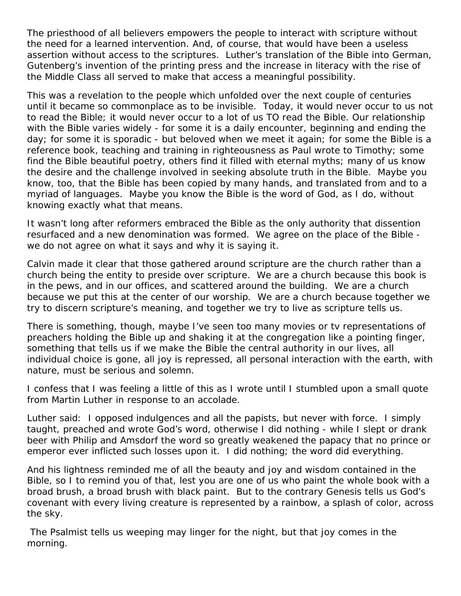The priesthood of all believers empowers the people to interact with scripture without the need for a learned intervention. And, of course, that would have been a useless assertion without access to the scriptures. Luther's translation of the Bible into German, Gutenberg's invention of the printing press and the increase in literacy with the rise of the Middle Class all served to make that access a meaningful possibility.

This was a revelation to the people which unfolded over the next couple of centuries until it became so commonplace as to be invisible. Today, it would never occur to us not to read the Bible; it would never occur to a lot of us TO read the Bible. Our relationship with the Bible varies widely - for some it is a daily encounter, beginning and ending the day; for some it is sporadic - but beloved when we meet it again; for some the Bible is a reference book, teaching and training in righteousness as Paul wrote to Timothy; some find the Bible beautiful poetry, others find it filled with eternal myths; many of us know the desire and the challenge involved in seeking absolute truth in the Bible. Maybe you know, too, that the Bible has been copied by many hands, and translated from and to a myriad of languages. Maybe you know the Bible is the word of God, as I do, without knowing exactly what that means.

It wasn't long after reformers embraced the Bible as the only authority that dissention resurfaced and a new denomination was formed. We agree on the place of the Bible we do not agree on what it says and why it is saying it.

Calvin made it clear that those gathered around scripture are the church rather than a church being the entity to preside over scripture. We are a church because this book is in the pews, and in our offices, and scattered around the building. We are a church because we put this at the center of our worship. We are a church because together we try to discern scripture's meaning, and together we try to live as scripture tells us.

There is something, though, maybe I've seen too many movies or tv representations of preachers holding the Bible up and shaking it at the congregation like a pointing finger, something that tells us if we make the Bible the central authority in our lives, all individual choice is gone, all joy is repressed, all personal interaction with the earth, with nature, must be serious and solemn.

I confess that I was feeling a little of this as I wrote until I stumbled upon a small quote from Martin Luther in response to an accolade.

Luther said: I opposed indulgences and all the papists, but never with force. I simply taught, preached and wrote God's word, otherwise I did nothing - while I slept or drank beer with Philip and Amsdorf the word so greatly weakened the papacy that no prince or emperor ever inflicted such losses upon it. I did nothing; the word did everything.

And his lightness reminded me of all the beauty and joy and wisdom contained in the Bible, so I to remind you of that, lest you are one of us who paint the whole book with a broad brush, a broad brush with black paint. But to the contrary Genesis tells us God's covenant with every living creature is represented by a rainbow, a splash of color, across the sky.

The Psalmist tells us weeping may linger for the night, but that joy comes in the morning.